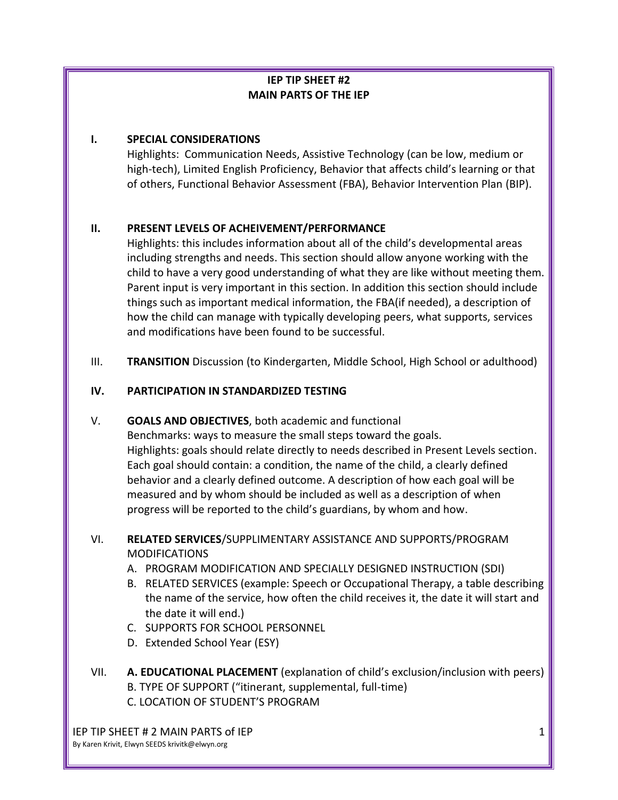# **IEP TIP SHEET #2 MAIN PARTS OF THE IEP**

#### **I. SPECIAL CONSIDERATIONS**

Highlights: Communication Needs, Assistive Technology (can be low, medium or high-tech), Limited English Proficiency, Behavior that affects child's learning or that of others, Functional Behavior Assessment (FBA), Behavior Intervention Plan (BIP).

## **II. PRESENT LEVELS OF ACHEIVEMENT/PERFORMANCE**

Highlights: this includes information about all of the child's developmental areas including strengths and needs. This section should allow anyone working with the child to have a very good understanding of what they are like without meeting them. Parent input is very important in this section. In addition this section should include things such as important medical information, the FBA(if needed), a description of how the child can manage with typically developing peers, what supports, services and modifications have been found to be successful.

III. **TRANSITION** Discussion (to Kindergarten, Middle School, High School or adulthood)

## **IV. PARTICIPATION IN STANDARDIZED TESTING**

## V. **GOALS AND OBJECTIVES**, both academic and functional

Benchmarks: ways to measure the small steps toward the goals. Highlights: goals should relate directly to needs described in Present Levels section. Each goal should contain: a condition, the name of the child, a clearly defined behavior and a clearly defined outcome. A description of how each goal will be measured and by whom should be included as well as a description of when progress will be reported to the child's guardians, by whom and how.

## VI. **RELATED SERVICES**/SUPPLIMENTARY ASSISTANCE AND SUPPORTS/PROGRAM MODIFICATIONS

- A. PROGRAM MODIFICATION AND SPECIALLY DESIGNED INSTRUCTION (SDI)
- B. RELATED SERVICES (example: Speech or Occupational Therapy, a table describing the name of the service, how often the child receives it, the date it will start and the date it will end.)
- C. SUPPORTS FOR SCHOOL PERSONNEL
- D. Extended School Year (ESY)
- VII. **A. EDUCATIONAL PLACEMENT** (explanation of child's exclusion/inclusion with peers) B. TYPE OF SUPPORT ("itinerant, supplemental, full-time) C. LOCATION OF STUDENT'S PROGRAM

IEP TIP SHEET # 2 MAIN PARTS of IEP By Karen Krivit, Elwyn SEEDS krivitk@elwyn.org